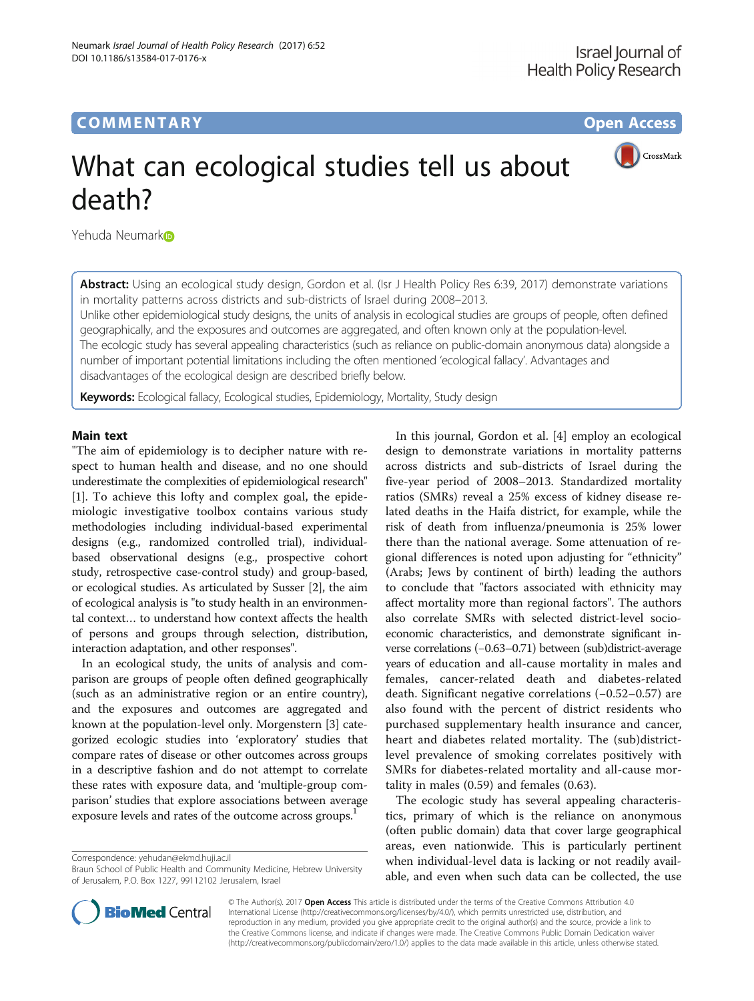# **COMMENTARY COMMENTARY Open Access**



# What can ecological studies tell us about death?

Yehuda Neumar[k](http://orcid.org/0000-0002-6486-4591)<sup>®</sup>

Abstract: Using an ecological study design, Gordon et al. (Isr J Health Policy Res 6:39, 2017) demonstrate variations in mortality patterns across districts and sub-districts of Israel during 2008–2013.

Unlike other epidemiological study designs, the units of analysis in ecological studies are groups of people, often defined geographically, and the exposures and outcomes are aggregated, and often known only at the population-level.

The ecologic study has several appealing characteristics (such as reliance on public-domain anonymous data) alongside a number of important potential limitations including the often mentioned 'ecological fallacy'. Advantages and

disadvantages of the ecological design are described briefly below.

Keywords: Ecological fallacy, Ecological studies, Epidemiology, Mortality, Study design

# Main text

"The aim of epidemiology is to decipher nature with respect to human health and disease, and no one should underestimate the complexities of epidemiological research" [[1](#page-4-0)]. To achieve this lofty and complex goal, the epidemiologic investigative toolbox contains various study methodologies including individual-based experimental designs (e.g., randomized controlled trial), individualbased observational designs (e.g., prospective cohort study, retrospective case-control study) and group-based, or ecological studies. As articulated by Susser [[2\]](#page-4-0), the aim of ecological analysis is "to study health in an environmental context… to understand how context affects the health of persons and groups through selection, distribution, interaction adaptation, and other responses".

In an ecological study, the units of analysis and comparison are groups of people often defined geographically (such as an administrative region or an entire country), and the exposures and outcomes are aggregated and known at the population-level only. Morgenstern [\[3](#page-4-0)] categorized ecologic studies into 'exploratory' studies that compare rates of disease or other outcomes across groups in a descriptive fashion and do not attempt to correlate these rates with exposure data, and 'multiple-group comparison' studies that explore associations between average exposure levels and rates of the outcome across groups.<sup>1</sup>

Correspondence: [yehudan@ekmd.huji.ac.il](mailto:yehudan@ekmd.huji.ac.il)

In this journal, Gordon et al. [[4\]](#page-4-0) employ an ecological design to demonstrate variations in mortality patterns across districts and sub-districts of Israel during the five-year period of 2008–2013. Standardized mortality ratios (SMRs) reveal a 25% excess of kidney disease related deaths in the Haifa district, for example, while the risk of death from influenza/pneumonia is 25% lower there than the national average. Some attenuation of regional differences is noted upon adjusting for "ethnicity" (Arabs; Jews by continent of birth) leading the authors to conclude that "factors associated with ethnicity may affect mortality more than regional factors". The authors also correlate SMRs with selected district-level socioeconomic characteristics, and demonstrate significant inverse correlations (−0.63–0.71) between (sub)district-average years of education and all-cause mortality in males and females, cancer-related death and diabetes-related death. Significant negative correlations (−0.52–0.57) are also found with the percent of district residents who purchased supplementary health insurance and cancer, heart and diabetes related mortality. The (sub)districtlevel prevalence of smoking correlates positively with SMRs for diabetes-related mortality and all-cause mortality in males (0.59) and females (0.63).

The ecologic study has several appealing characteristics, primary of which is the reliance on anonymous (often public domain) data that cover large geographical areas, even nationwide. This is particularly pertinent when individual-level data is lacking or not readily available, and even when such data can be collected, the use



© The Author(s). 2017 **Open Access** This article is distributed under the terms of the Creative Commons Attribution 4.0 International License [\(http://creativecommons.org/licenses/by/4.0/](http://creativecommons.org/licenses/by/4.0/)), which permits unrestricted use, distribution, and reproduction in any medium, provided you give appropriate credit to the original author(s) and the source, provide a link to the Creative Commons license, and indicate if changes were made. The Creative Commons Public Domain Dedication waiver [\(http://creativecommons.org/publicdomain/zero/1.0/](http://creativecommons.org/publicdomain/zero/1.0/)) applies to the data made available in this article, unless otherwise stated.

Braun School of Public Health and Community Medicine, Hebrew University of Jerusalem, P.O. Box 1227, 99112102 Jerusalem, Israel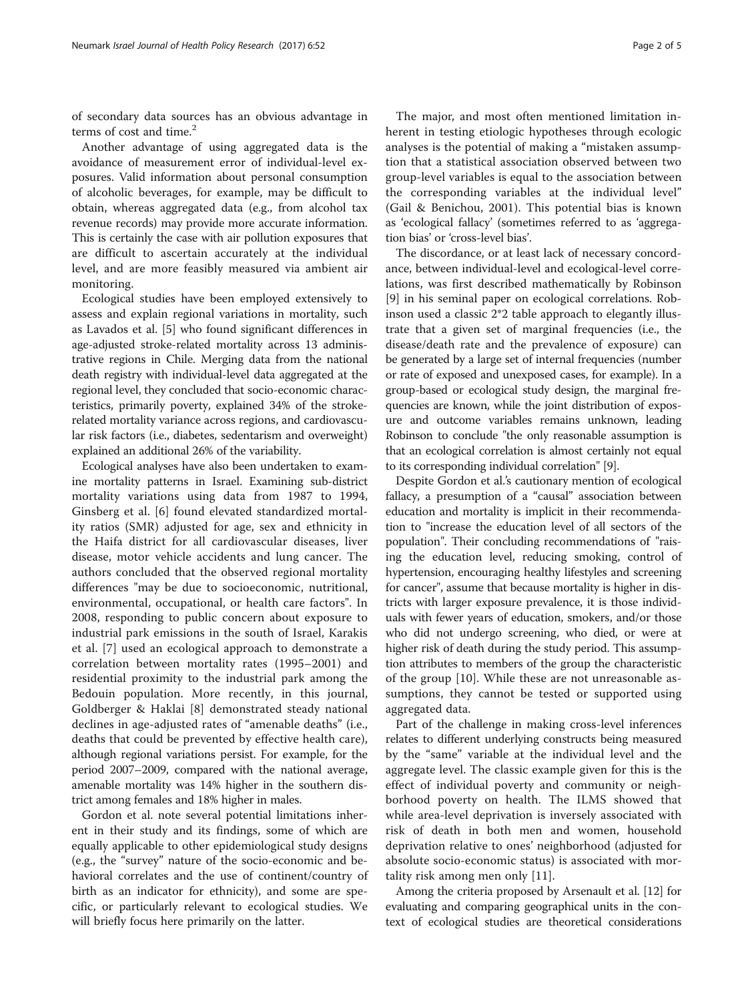of secondary data sources has an obvious advantage in terms of cost and time.<sup>2</sup>

Another advantage of using aggregated data is the avoidance of measurement error of individual-level exposures. Valid information about personal consumption of alcoholic beverages, for example, may be difficult to obtain, whereas aggregated data (e.g., from alcohol tax revenue records) may provide more accurate information. This is certainly the case with air pollution exposures that are difficult to ascertain accurately at the individual level, and are more feasibly measured via ambient air monitoring.

Ecological studies have been employed extensively to assess and explain regional variations in mortality, such as Lavados et al. [\[5\]](#page-4-0) who found significant differences in age-adjusted stroke-related mortality across 13 administrative regions in Chile. Merging data from the national death registry with individual-level data aggregated at the regional level, they concluded that socio-economic characteristics, primarily poverty, explained 34% of the strokerelated mortality variance across regions, and cardiovascular risk factors (i.e., diabetes, sedentarism and overweight) explained an additional 26% of the variability.

Ecological analyses have also been undertaken to examine mortality patterns in Israel. Examining sub-district mortality variations using data from 1987 to 1994, Ginsberg et al. [[6\]](#page-4-0) found elevated standardized mortality ratios (SMR) adjusted for age, sex and ethnicity in the Haifa district for all cardiovascular diseases, liver disease, motor vehicle accidents and lung cancer. The authors concluded that the observed regional mortality differences "may be due to socioeconomic, nutritional, environmental, occupational, or health care factors". In 2008, responding to public concern about exposure to industrial park emissions in the south of Israel, Karakis et al. [[7](#page-4-0)] used an ecological approach to demonstrate a correlation between mortality rates (1995–2001) and residential proximity to the industrial park among the Bedouin population. More recently, in this journal, Goldberger & Haklai [\[8](#page-4-0)] demonstrated steady national declines in age-adjusted rates of "amenable deaths" (i.e., deaths that could be prevented by effective health care), although regional variations persist. For example, for the period 2007–2009, compared with the national average, amenable mortality was 14% higher in the southern district among females and 18% higher in males.

Gordon et al. note several potential limitations inherent in their study and its findings, some of which are equally applicable to other epidemiological study designs (e.g., the "survey" nature of the socio-economic and behavioral correlates and the use of continent/country of birth as an indicator for ethnicity), and some are specific, or particularly relevant to ecological studies. We will briefly focus here primarily on the latter.

The major, and most often mentioned limitation inherent in testing etiologic hypotheses through ecologic analyses is the potential of making a "mistaken assumption that a statistical association observed between two group-level variables is equal to the association between the corresponding variables at the individual level" (Gail & Benichou, 2001). This potential bias is known as 'ecological fallacy' (sometimes referred to as 'aggregation bias' or 'cross-level bias'.

The discordance, or at least lack of necessary concordance, between individual-level and ecological-level correlations, was first described mathematically by Robinson [[9\]](#page-4-0) in his seminal paper on ecological correlations. Robinson used a classic 2\*2 table approach to elegantly illustrate that a given set of marginal frequencies (i.e., the disease/death rate and the prevalence of exposure) can be generated by a large set of internal frequencies (number or rate of exposed and unexposed cases, for example). In a group-based or ecological study design, the marginal frequencies are known, while the joint distribution of exposure and outcome variables remains unknown, leading Robinson to conclude "the only reasonable assumption is that an ecological correlation is almost certainly not equal to its corresponding individual correlation" [[9](#page-4-0)].

Despite Gordon et al.'s cautionary mention of ecological fallacy, a presumption of a "causal" association between education and mortality is implicit in their recommendation to "increase the education level of all sectors of the population". Their concluding recommendations of "raising the education level, reducing smoking, control of hypertension, encouraging healthy lifestyles and screening for cancer", assume that because mortality is higher in districts with larger exposure prevalence, it is those individuals with fewer years of education, smokers, and/or those who did not undergo screening, who died, or were at higher risk of death during the study period. This assumption attributes to members of the group the characteristic of the group [\[10](#page-4-0)]. While these are not unreasonable assumptions, they cannot be tested or supported using aggregated data.

Part of the challenge in making cross-level inferences relates to different underlying constructs being measured by the "same" variable at the individual level and the aggregate level. The classic example given for this is the effect of individual poverty and community or neighborhood poverty on health. The ILMS showed that while area-level deprivation is inversely associated with risk of death in both men and women, household deprivation relative to ones' neighborhood (adjusted for absolute socio-economic status) is associated with mortality risk among men only [\[11](#page-4-0)].

Among the criteria proposed by Arsenault et al. [\[12](#page-4-0)] for evaluating and comparing geographical units in the context of ecological studies are theoretical considerations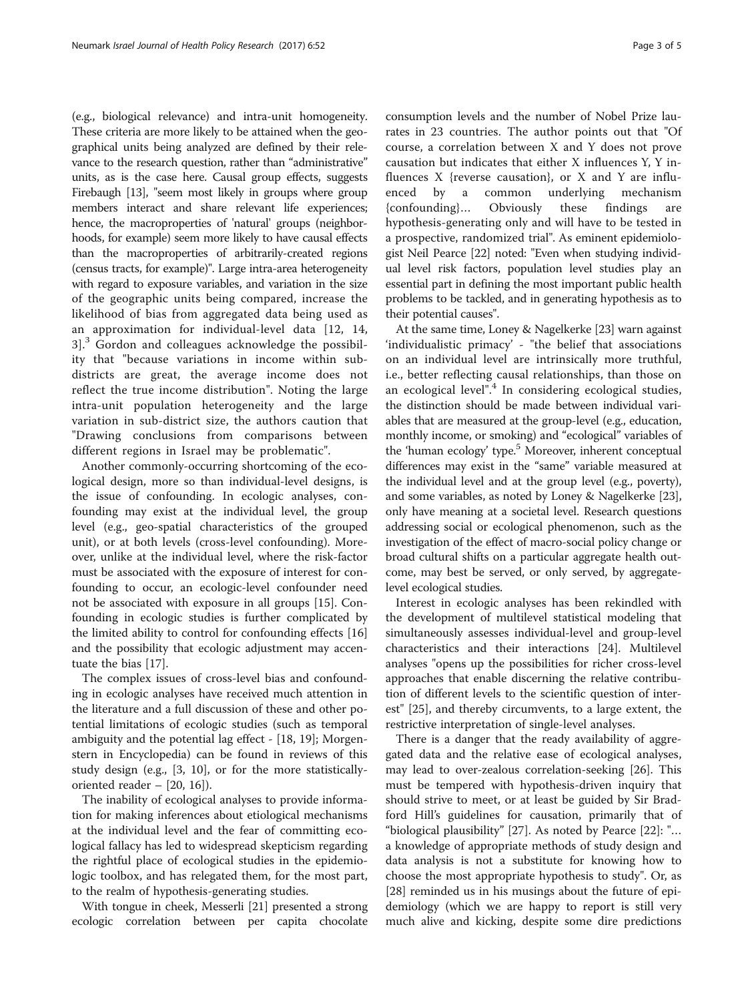(e.g., biological relevance) and intra-unit homogeneity. These criteria are more likely to be attained when the geographical units being analyzed are defined by their relevance to the research question, rather than "administrative" units, as is the case here. Causal group effects, suggests Firebaugh [[13](#page-4-0)], "seem most likely in groups where group members interact and share relevant life experiences; hence, the macroproperties of 'natural' groups (neighborhoods, for example) seem more likely to have causal effects than the macroproperties of arbitrarily-created regions (census tracts, for example)". Large intra-area heterogeneity with regard to exposure variables, and variation in the size of the geographic units being compared, increase the likelihood of bias from aggregated data being used as an approximation for individual-level data [\[12](#page-4-0), [14](#page-4-0), [3\]](#page-4-0).<sup>3</sup> Gordon and colleagues acknowledge the possibility that "because variations in income within subdistricts are great, the average income does not reflect the true income distribution". Noting the large intra-unit population heterogeneity and the large variation in sub-district size, the authors caution that "Drawing conclusions from comparisons between different regions in Israel may be problematic".

Another commonly-occurring shortcoming of the ecological design, more so than individual-level designs, is the issue of confounding. In ecologic analyses, confounding may exist at the individual level, the group level (e.g., geo-spatial characteristics of the grouped unit), or at both levels (cross-level confounding). Moreover, unlike at the individual level, where the risk-factor must be associated with the exposure of interest for confounding to occur, an ecologic-level confounder need not be associated with exposure in all groups [\[15](#page-4-0)]. Confounding in ecologic studies is further complicated by the limited ability to control for confounding effects [[16](#page-4-0)] and the possibility that ecologic adjustment may accentuate the bias [[17\]](#page-4-0).

The complex issues of cross-level bias and confounding in ecologic analyses have received much attention in the literature and a full discussion of these and other potential limitations of ecologic studies (such as temporal ambiguity and the potential lag effect - [[18](#page-4-0), [19](#page-4-0)]; Morgenstern in Encyclopedia) can be found in reviews of this study design (e.g., [\[3](#page-4-0), [10\]](#page-4-0), or for the more statisticallyoriented reader – [\[20](#page-4-0), [16](#page-4-0)]).

The inability of ecological analyses to provide information for making inferences about etiological mechanisms at the individual level and the fear of committing ecological fallacy has led to widespread skepticism regarding the rightful place of ecological studies in the epidemiologic toolbox, and has relegated them, for the most part, to the realm of hypothesis-generating studies.

With tongue in cheek, Messerli [\[21\]](#page-4-0) presented a strong ecologic correlation between per capita chocolate consumption levels and the number of Nobel Prize laurates in 23 countries. The author points out that "Of

course, a correlation between X and Y does not prove causation but indicates that either X influences Y, Y influences  $X$  {reverse causation}, or  $X$  and  $Y$  are influenced by a common underlying mechanism {confounding}… Obviously these findings are hypothesis-generating only and will have to be tested in a prospective, randomized trial". As eminent epidemiologist Neil Pearce [[22\]](#page-4-0) noted: "Even when studying individual level risk factors, population level studies play an essential part in defining the most important public health problems to be tackled, and in generating hypothesis as to their potential causes".

At the same time, Loney & Nagelkerke [[23\]](#page-4-0) warn against 'individualistic primacy' - "the belief that associations on an individual level are intrinsically more truthful, i.e., better reflecting causal relationships, than those on an ecological level". $4$  In considering ecological studies, the distinction should be made between individual variables that are measured at the group-level (e.g., education, monthly income, or smoking) and "ecological" variables of the 'human ecology' type.<sup>5</sup> Moreover, inherent conceptual differences may exist in the "same" variable measured at the individual level and at the group level (e.g., poverty), and some variables, as noted by Loney & Nagelkerke [[23](#page-4-0)], only have meaning at a societal level. Research questions addressing social or ecological phenomenon, such as the investigation of the effect of macro-social policy change or broad cultural shifts on a particular aggregate health outcome, may best be served, or only served, by aggregatelevel ecological studies.

Interest in ecologic analyses has been rekindled with the development of multilevel statistical modeling that simultaneously assesses individual-level and group-level characteristics and their interactions [\[24](#page-4-0)]. Multilevel analyses "opens up the possibilities for richer cross-level approaches that enable discerning the relative contribution of different levels to the scientific question of interest" [[25\]](#page-4-0), and thereby circumvents, to a large extent, the restrictive interpretation of single-level analyses.

There is a danger that the ready availability of aggregated data and the relative ease of ecological analyses, may lead to over-zealous correlation-seeking [[26\]](#page-4-0). This must be tempered with hypothesis-driven inquiry that should strive to meet, or at least be guided by Sir Bradford Hill's guidelines for causation, primarily that of "biological plausibility" [[27](#page-4-0)]. As noted by Pearce [[22\]](#page-4-0): "… a knowledge of appropriate methods of study design and data analysis is not a substitute for knowing how to choose the most appropriate hypothesis to study". Or, as [[28\]](#page-4-0) reminded us in his musings about the future of epidemiology (which we are happy to report is still very much alive and kicking, despite some dire predictions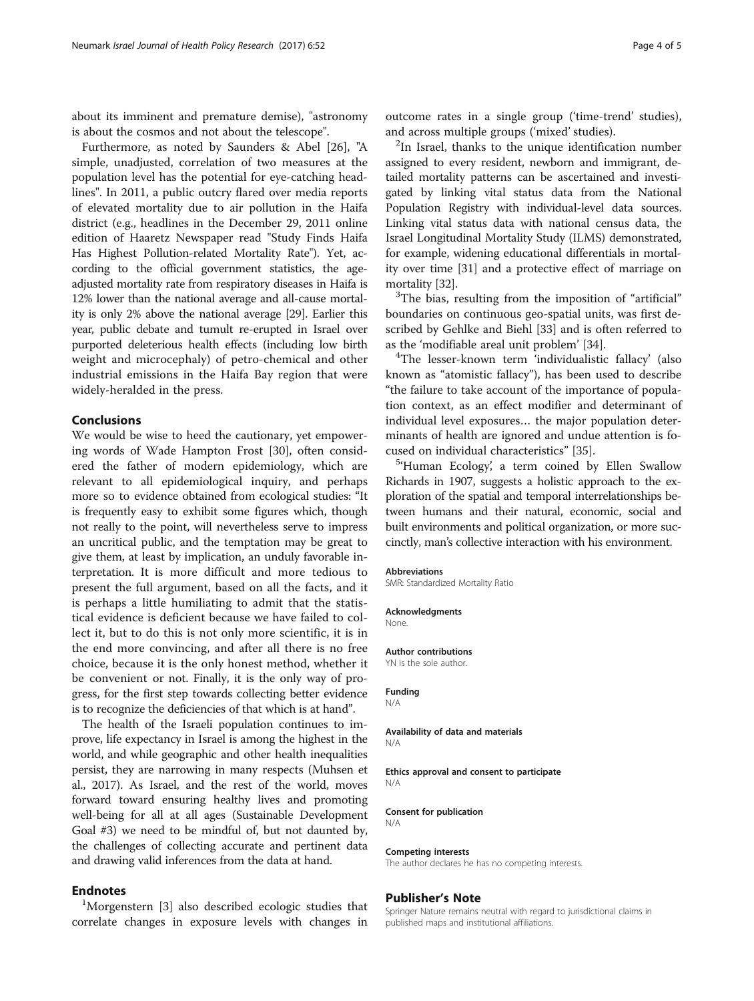about its imminent and premature demise), "astronomy is about the cosmos and not about the telescope".

Furthermore, as noted by Saunders & Abel [\[26](#page-4-0)], "A simple, unadjusted, correlation of two measures at the population level has the potential for eye-catching headlines". In 2011, a public outcry flared over media reports of elevated mortality due to air pollution in the Haifa district (e.g., headlines in the December 29, 2011 online edition of Haaretz Newspaper read "Study Finds Haifa Has Highest Pollution-related Mortality Rate"). Yet, according to the official government statistics, the ageadjusted mortality rate from respiratory diseases in Haifa is 12% lower than the national average and all-cause mortality is only 2% above the national average [[29](#page-4-0)]. Earlier this year, public debate and tumult re-erupted in Israel over purported deleterious health effects (including low birth weight and microcephaly) of petro-chemical and other industrial emissions in the Haifa Bay region that were widely-heralded in the press.

# Conclusions

We would be wise to heed the cautionary, yet empowering words of Wade Hampton Frost [[30](#page-4-0)], often considered the father of modern epidemiology, which are relevant to all epidemiological inquiry, and perhaps more so to evidence obtained from ecological studies: "It is frequently easy to exhibit some figures which, though not really to the point, will nevertheless serve to impress an uncritical public, and the temptation may be great to give them, at least by implication, an unduly favorable interpretation. It is more difficult and more tedious to present the full argument, based on all the facts, and it is perhaps a little humiliating to admit that the statistical evidence is deficient because we have failed to collect it, but to do this is not only more scientific, it is in the end more convincing, and after all there is no free choice, because it is the only honest method, whether it be convenient or not. Finally, it is the only way of progress, for the first step towards collecting better evidence is to recognize the deficiencies of that which is at hand".

The health of the Israeli population continues to improve, life expectancy in Israel is among the highest in the world, and while geographic and other health inequalities persist, they are narrowing in many respects (Muhsen et al., 2017). As Israel, and the rest of the world, moves forward toward ensuring healthy lives and promoting well-being for all at all ages (Sustainable Development Goal #3) we need to be mindful of, but not daunted by, the challenges of collecting accurate and pertinent data and drawing valid inferences from the data at hand.

# Endnotes

<sup>1</sup>Morgenstern [[3\]](#page-4-0) also described ecologic studies that correlate changes in exposure levels with changes in

outcome rates in a single group ('time-trend' studies), and across multiple groups ('mixed' studies). <sup>2</sup>

 $2$ In Israel, thanks to the unique identification number assigned to every resident, newborn and immigrant, detailed mortality patterns can be ascertained and investigated by linking vital status data from the National Population Registry with individual-level data sources. Linking vital status data with national census data, the Israel Longitudinal Mortality Study (ILMS) demonstrated, for example, widening educational differentials in mortality over time [[31](#page-4-0)] and a protective effect of marriage on mortality [[32](#page-4-0)].

 $3$ The bias, resulting from the imposition of "artificial" boundaries on continuous geo-spatial units, was first described by Gehlke and Biehl [[33\]](#page-4-0) and is often referred to as the 'modifiable areal unit problem' [[34](#page-4-0)].

<sup>4</sup>The lesser-known term 'individualistic fallacy' (also known as "atomistic fallacy"), has been used to describe "the failure to take account of the importance of population context, as an effect modifier and determinant of individual level exposures… the major population determinants of health are ignored and undue attention is fo-cused on individual characteristics" [\[35](#page-4-0)].

<sup>5</sup>'Human Ecology', a term coined by Ellen Swallow Richards in 1907, suggests a holistic approach to the exploration of the spatial and temporal interrelationships between humans and their natural, economic, social and built environments and political organization, or more succinctly, man's collective interaction with his environment.

#### Abbreviations

SMR: Standardized Mortality Ratio

Acknowledgments None.

Author contributions YN is the sole author.

## Funding

N/A

#### Availability of data and materials N/A

Ethics approval and consent to participate N/A

Consent for publication N/A

#### Competing interests

The author declares he has no competing interests.

#### Publisher's Note

Springer Nature remains neutral with regard to jurisdictional claims in published maps and institutional affiliations.